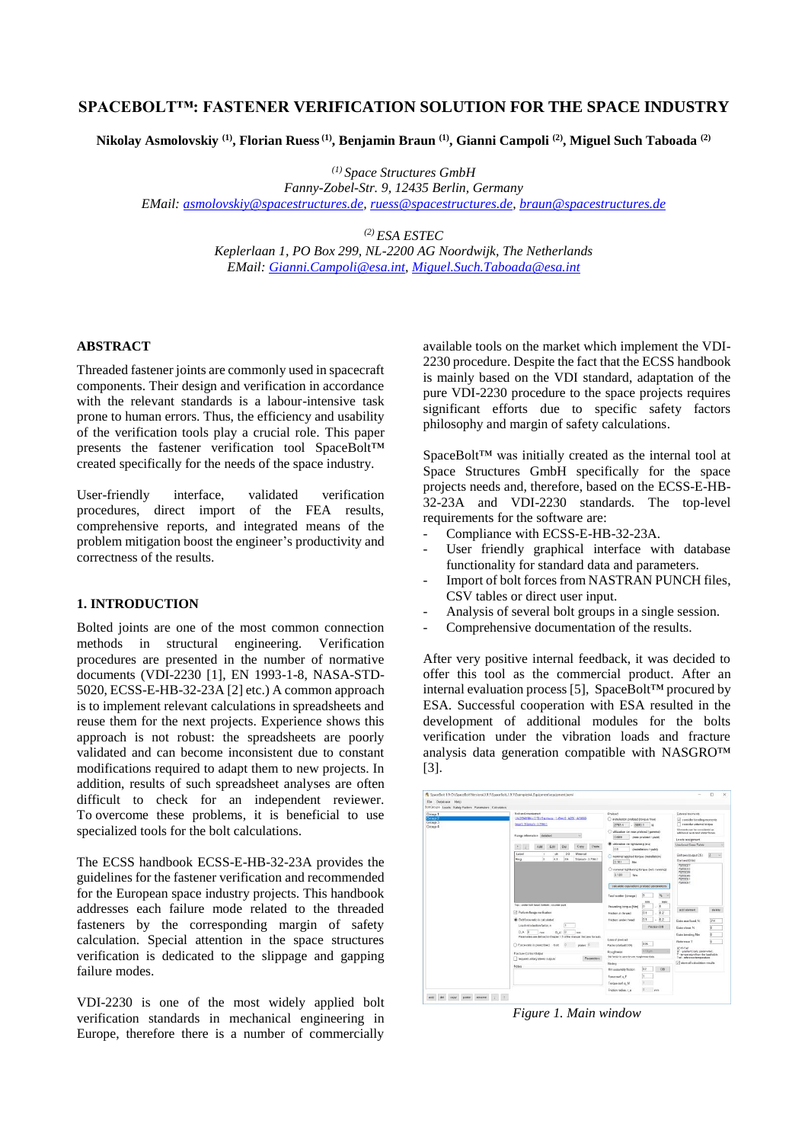# **SPACEBOLT™: FASTENER VERIFICATION SOLUTION FOR THE SPACE INDUSTRY**

**Nikolay Asmolovskiy (1) , Florian Ruess(1) , Benjamin Braun (1) , Gianni Campoli (2) , Miguel Such Taboada (2)**

*(1) Space Structures GmbH*

*Fanny-Zobel-Str. 9, 12435 Berlin, Germany*

*EMail: [asmolovskiy@spacestructures.de,](mailto:asmolovskiy@spacestructures.de) [ruess@spacestructures.de,](mailto:ruess@spacestructures.de) [braun@spacestructures.de](mailto:braun@spacestructures.de)*

*(2) ESA ESTEC Keplerlaan 1, PO Box 299, NL-2200 AG Noordwijk, The Netherlands EMail: [Gianni.Campoli@esa.int,](mailto:Gianni.Campoli@esa.int) [Miguel.Such.Taboada@esa.int](mailto:Miguel.Such.Taboada@esa.int)*

## **ABSTRACT**

Threaded fastener joints are commonly used in spacecraft components. Their design and verification in accordance with the relevant standards is a labour-intensive task prone to human errors. Thus, the efficiency and usability of the verification tools play a crucial role. This paper presents the fastener verification tool SpaceBolt™ created specifically for the needs of the space industry.

User-friendly interface, validated verification procedures, direct import of the FEA results, comprehensive reports, and integrated means of the problem mitigation boost the engineer's productivity and correctness of the results.

# **1. INTRODUCTION**

Bolted joints are one of the most common connection methods in structural engineering. Verification procedures are presented in the number of normative documents (VDI-2230 [1], EN 1993-1-8, NASA-STD-5020, ECSS-E-HB-32-23A [2] etc.) A common approach is to implement relevant calculations in spreadsheets and reuse them for the next projects. Experience shows this approach is not robust: the spreadsheets are poorly validated and can become inconsistent due to constant modifications required to adapt them to new projects. In addition, results of such spreadsheet analyses are often difficult to check for an independent reviewer. To overcome these problems, it is beneficial to use specialized tools for the bolt calculations.

The ECSS handbook ECSS-E-HB-32-23A provides the guidelines for the fastener verification and recommended for the European space industry projects. This handbook addresses each failure mode related to the threaded fasteners by the corresponding margin of safety calculation. Special attention in the space structures verification is dedicated to the slippage and gapping failure modes.

VDI-2230 is one of the most widely applied bolt verification standards in mechanical engineering in Europe, therefore there is a number of commercially available tools on the market which implement the VDI-2230 procedure. Despite the fact that the ECSS handbook is mainly based on the VDI standard, adaptation of the pure VDI-2230 procedure to the space projects requires significant efforts due to specific safety factors philosophy and margin of safety calculations.

SpaceBolt™ was initially created as the internal tool at Space Structures GmbH specifically for the space projects needs and, therefore, based on the ECSS-E-HB-32-23A and VDI-2230 standards. The top-level requirements for the software are:

- Compliance with ECSS-E-HB-32-23A.
- User friendly graphical interface with database functionality for standard data and parameters.
- Import of bolt forces from NASTRAN PUNCH files, CSV tables or direct user input.
- Analysis of several bolt groups in a single session.
- Comprehensive documentation of the results.

After very positive internal feedback, it was decided to offer this tool as the commercial product. After an internal evaluation process [5], SpaceBolt™ procured by ESA. Successful cooperation with ESA resulted in the development of additional modules for the bolts verification under the vibration loads and fracture analysis data generation compatible with NASGRO™ [3].

| File Database Help                                      | SpaceBolt 1.9: Of:SpaceBoltf/Arrsions\1.9.1\SpaceBolt 1.9.1\Examples\4.Equipment-equipment.boml        |                                                                 |                                                                                         |                                                                                                            |
|---------------------------------------------------------|--------------------------------------------------------------------------------------------------------|-----------------------------------------------------------------|-----------------------------------------------------------------------------------------|------------------------------------------------------------------------------------------------------------|
| Bolt Groups Leads Salidy Factors Parameters Calculation |                                                                                                        |                                                                 |                                                                                         |                                                                                                            |
| Group 1                                                 | <b>Bok</b> and courtement                                                                              | Prelond                                                         |                                                                                         | External moments                                                                                           |
| Group 2<br>Group 3<br>Group 4                           | LN 29949 M4 x 0.70 / Stainlass - 14944 6 - A266 - A/S/660<br>hsen/Toxxxr-371641                        | C installation prolond (torque free)<br>3550 T N<br>2783.4      | of consider bending moments<br>consider external toyous<br>Moments can be considered as |                                                                                                            |
|                                                         | Flange-information detailed<br>×                                                                       | C utilization on max preload (gamma)<br>0.689                   | (max preload / yield)                                                                   | additional axial and shear forces.<br>Loads assignment                                                     |
|                                                         | Paste<br>Edit<br>Del<br>Copy<br>$+$<br>Add                                                             | <b>30</b> utilization on tightening (nu)<br>0.5                 | (installation / yield)                                                                  | Use Load Case Table                                                                                        |
|                                                         | Label<br>DO<br>Motorial<br><b>dk</b><br>$\mathbf{I}$<br>la.<br>43<br>Riso<br>85<br>Titanium - 3.7164.1 | nominal applied torque (installation)<br>3.181<br>Nm            |                                                                                         | $2 - 4$<br>Bolt axis (output CS):<br>Flement El list                                                       |
|                                                         |                                                                                                        | O naminal tightuning torque (w/o nutriing)<br>3.181<br>Nm       |                                                                                         | <b>TECHNICIA</b><br><b>TECHNICALS</b><br>70256039<br>70255045<br><b>TOSTERS</b>                            |
|                                                         |                                                                                                        | celculate equivalent preload parameters<br>Tool scatter (omega) |                                                                                         | 70255057                                                                                                   |
|                                                         | Top - under bolt head, bottom - counter part.                                                          | Prevailing torque (Nm)                                          | min<br>mox<br>io.<br>lo                                                                 | dalate                                                                                                     |
|                                                         | C Perform fange-verification                                                                           | Friction in thread                                              | 0.1<br>0.2                                                                              | add element                                                                                                |
|                                                         | <b>B</b> Boltforce ratio is calculated.<br>Loadintroduction factor.n<br>×                              | Friction under head                                             | 0.1<br>02<br>÷                                                                          | Extra small cord N.<br>314                                                                                 |
|                                                         | DA B<br>DA'S<br>mm<br>$\alpha$                                                                         |                                                                 | Friction DB                                                                             | Extra shear, N.<br>k                                                                                       |
|                                                         | Parameters are defined in Chapter 1.5 of the manual. Set percifix rules                                | Loss of problem?                                                |                                                                                         | Extra bending Nm<br>×<br>и<br>Reference T                                                                  |
|                                                         | Force ratio is prescribed bolt<br>plates: 11                                                           | Factor (default 0.05)                                           | 0.05                                                                                    | AT+T-Tref                                                                                                  |
|                                                         | Fracture Control Output                                                                                | Roadmess<br>Set factor to paro to use coughness data.           | $6.10$ km                                                                               | AT - madievé insin posteroristi<br>T - between headquart that leading him<br>Tref - reference temperature. |
|                                                         | <b>Patameters</b><br>request unitary stress cutputs                                                    | Séding                                                          |                                                                                         | of store all calculation results                                                                           |
|                                                         | hásios                                                                                                 | Min assembly friction                                           | 0.2 <br>DB.                                                                             |                                                                                                            |
|                                                         |                                                                                                        | Force surt a F                                                  |                                                                                         |                                                                                                            |
|                                                         |                                                                                                        | Torque surf, q. M.                                              |                                                                                         |                                                                                                            |
|                                                         |                                                                                                        | Friction radius: r.a.                                           | <b>DOM:</b><br>ms                                                                       |                                                                                                            |

*Figure 1. Main window*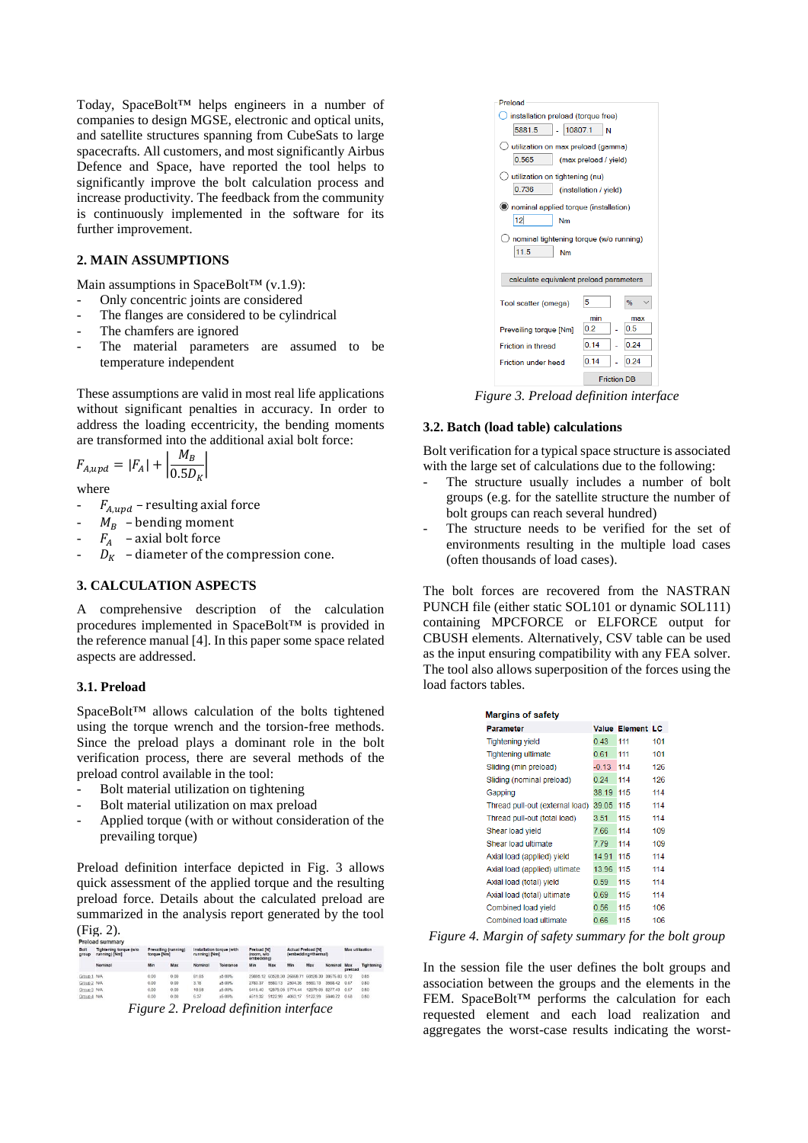Today, SpaceBolt™ helps engineers in a number of companies to design MGSE, electronic and optical units, and satellite structures spanning from CubeSats to large spacecrafts. All customers, and most significantly Airbus Defence and Space, have reported the tool helps to significantly improve the bolt calculation process and increase productivity. The feedback from the community is continuously implemented in the software for its further improvement.

# **2. MAIN ASSUMPTIONS**

Main assumptions in SpaceBolt™ (v.1.9):

- Only concentric joints are considered
- The flanges are considered to be cylindrical
- The chamfers are ignored
- The material parameters are assumed to be temperature independent

These assumptions are valid in most real life applications without significant penalties in accuracy. In order to address the loading eccentricity, the bending moments are transformed into the additional axial bolt force:

$$
F_{A,upd} = |F_A| + \left|\frac{M_B}{0.5D_K}\right|
$$

where

- $F_{A,und}$  resulting axial force
- $M_B$  bending moment
- $F_A$  axial bolt force
- $D_K$  diameter of the compression cone.

## **3. CALCULATION ASPECTS**

A comprehensive description of the calculation procedures implemented in SpaceBolt™ is provided in the reference manual [4]. In this paper some space related aspects are addressed.

#### **3.1. Preload**

SpaceBolt™ allows calculation of the bolts tightened using the torque wrench and the torsion-free methods. Since the preload plays a dominant role in the bolt verification process, there are several methods of the preload control available in the tool:

- Bolt material utilization on tightening
- Bolt material utilization on max preload
- Applied torque (with or without consideration of the prevailing torque)

Preload definition interface depicted in Fig. 3 allows quick assessment of the applied torque and the resulting preload force. Details about the calculated preload are summarized in the analysis report generated by the tool (Fig. 2).

| Bolt<br>group | Tightening torque (wio)<br>running) [Nm] |      | Prevailing (running)<br>Installation torque (with<br>torque [Nm]<br>running) [Nm] |                |           | Preload [N]<br>(room, w/o<br>embedding) |                  | <b>Actual Preload INI</b><br>(embedding+thermal) |                                                   | Max utilization |                |            |
|---------------|------------------------------------------|------|-----------------------------------------------------------------------------------|----------------|-----------|-----------------------------------------|------------------|--------------------------------------------------|---------------------------------------------------|-----------------|----------------|------------|
|               | Nominal                                  | Min  | Max                                                                               | <b>Nominal</b> | Tolerance | Min                                     | Max              | Min                                              | Max                                               | Nominal         | Max<br>preload | Tightening |
| Group 1 N/A   |                                          | 0.00 | 0.00                                                                              | 81.85          | ±5.00%    |                                         |                  |                                                  | 29895 12 60528 30 26868 71 60528 30 38676 83 0.72 |                 |                | 0.85       |
| Group 2 N/A   |                                          | 0.00 | 0.00                                                                              | 3.18           | ±5.00%    | 2783.37                                 | 5580.13          | 2504.36                                          | 5580 13                                           | 3588.42         | 0.67           | 0.80       |
| Group 3 N/A   |                                          | 0.00 | 0.00                                                                              | 10.58          | ±5.00%    | 6418.40                                 | 12879.05 5774.44 |                                                  | 12879.05 8277.43                                  |                 | 0.67           | 0.80       |
| Group 4 N/A   |                                          | 0.00 | 0.00                                                                              | 6.37           | ±5.00%    | 4519.32                                 | 9122.99          | 4063.17                                          | 9122.99                                           | 5840.72         | 0.68           | 0.80       |



*Figure 3. Preload definition interface* 

#### **3.2. Batch (load table) calculations**

Bolt verification for a typical space structure is associated with the large set of calculations due to the following:

- The structure usually includes a number of bolt groups (e.g. for the satellite structure the number of bolt groups can reach several hundred)
- The structure needs to be verified for the set of environments resulting in the multiple load cases (often thousands of load cases).

The bolt forces are recovered from the NASTRAN PUNCH file (either static SOL101 or dynamic SOL111) containing MPCFORCE or ELFORCE output for CBUSH elements. Alternatively, CSV table can be used as the input ensuring compatibility with any FEA solver. The tool also allows superposition of the forces using the load factors tables.

| <b>Margins of safety</b>        |           |                  |     |  |  |  |
|---------------------------------|-----------|------------------|-----|--|--|--|
| Parameter                       |           | Value Element LC |     |  |  |  |
| <b>Tightening yield</b>         | 0.43      | 111              | 101 |  |  |  |
| <b>Tightening ultimate</b>      | 0.61      | 111              | 101 |  |  |  |
| Sliding (min preload)           | $-0.13$   | 114              | 126 |  |  |  |
| Sliding (nominal preload)       | 0.24      | 114              | 126 |  |  |  |
| Gapping                         | 38.19 115 |                  | 114 |  |  |  |
| Thread pull-out (external load) | 39.05     | 115              | 114 |  |  |  |
| Thread pull-out (total load)    | 3.51      | 115              | 114 |  |  |  |
| Shear load yield                | 7.66      | 114              | 109 |  |  |  |
| Shear load ultimate             | 7.79      | 114              | 109 |  |  |  |
| Axial load (applied) yield      | 14.91     | 115              | 114 |  |  |  |
| Axial load (applied) ultimate   | 13.96     | 115              | 114 |  |  |  |
| Axial load (total) yield        | 0.59      | 115              | 114 |  |  |  |
| Axial load (total) ultimate     | 0.69      | 115              | 114 |  |  |  |
| Combined load yield             | 0.56      | 115              | 106 |  |  |  |
| Combined load ultimate          | 0.66      | 115              | 106 |  |  |  |

*Figure 4. Margin of safety summary for the bolt group*

In the session file the user defines the bolt groups and association between the groups and the elements in the FEM. SpaceBolt™ performs the calculation for each requested element and each load realization and aggregates the worst-case results indicating the worst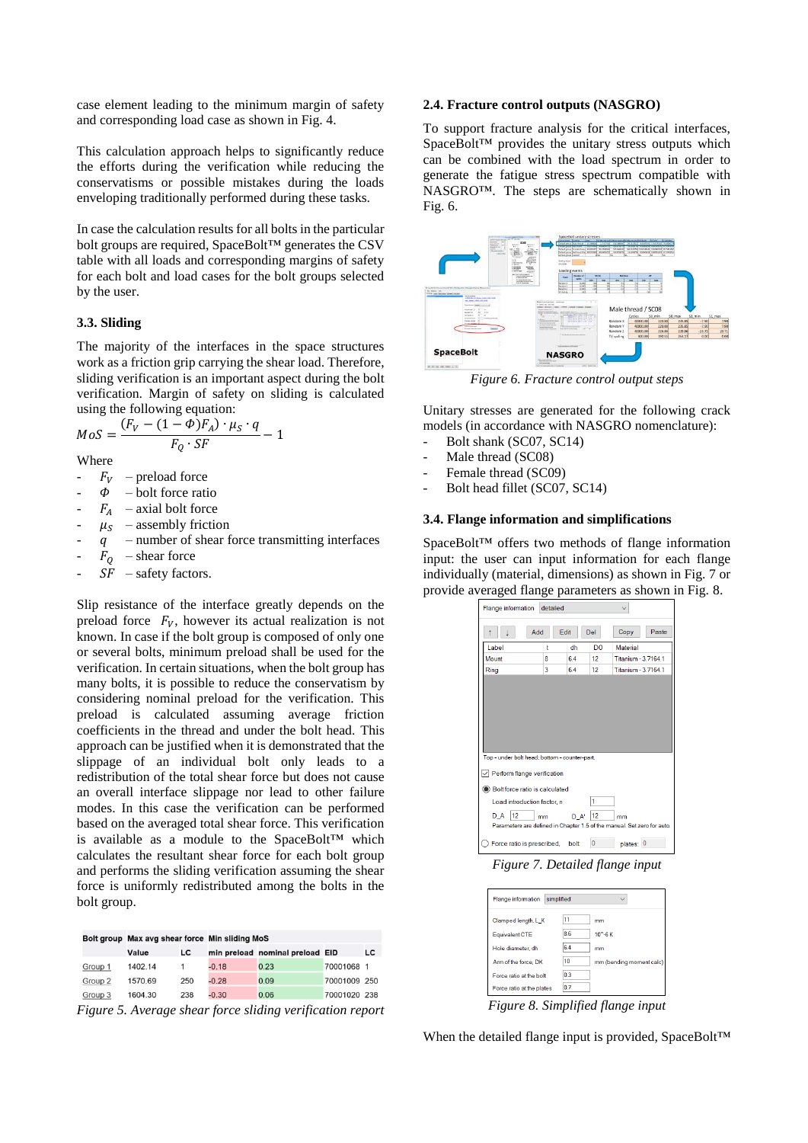case element leading to the minimum margin of safety and corresponding load case as shown in Fig. 4.

This calculation approach helps to significantly reduce the efforts during the verification while reducing the conservatisms or possible mistakes during the loads enveloping traditionally performed during these tasks.

In case the calculation results for all bolts in the particular bolt groups are required, SpaceBolt™ generates the CSV table with all loads and corresponding margins of safety for each bolt and load cases for the bolt groups selected by the user.

## **3.3. Sliding**

The majority of the interfaces in the space structures work as a friction grip carrying the shear load. Therefore, sliding verification is an important aspect during the bolt verification. Margin of safety on sliding is calculated using the following equation:

$$
MoS = \frac{(F_V - (1 - \Phi)F_A) \cdot \mu_S \cdot q}{F_Q \cdot SF} - 1
$$

Where

- $F_V$  preload force
- $\dot{\phi}$  bolt force ratio
- $F_A$  axial bolt force
- $\mu_S$  assembly friction<br>q number of shear f
- number of shear force transmitting interfaces
- $F_Q$  shear force
- $SF$  safety factors.

Slip resistance of the interface greatly depends on the preload force  $F_V$ , however its actual realization is not known. In case if the bolt group is composed of only one or several bolts, minimum preload shall be used for the verification. In certain situations, when the bolt group has many bolts, it is possible to reduce the conservatism by considering nominal preload for the verification. This preload is calculated assuming average friction coefficients in the thread and under the bolt head. This approach can be justified when it is demonstrated that the slippage of an individual bolt only leads to a redistribution of the total shear force but does not cause an overall interface slippage nor lead to other failure modes. In this case the verification can be performed based on the averaged total shear force. This verification is available as a module to the SpaceBolt™ which calculates the resultant shear force for each bolt group and performs the sliding verification assuming the shear force is uniformly redistributed among the bolts in the bolt group.

|         |         |     | Bolt group Max avg shear force Min sliding MoS |                                 |              |    |  |  |
|---------|---------|-----|------------------------------------------------|---------------------------------|--------------|----|--|--|
|         | Value   | LC  |                                                | min preload nominal preload EID |              | LC |  |  |
| Group 1 | 1402.14 |     | $-0.18$                                        | 0.23                            | 70001068 1   |    |  |  |
| Group 2 | 1570.69 | 250 | $-0.28$                                        | 0.09                            | 70001009 250 |    |  |  |
| Group 3 | 1604.30 | 238 | $-0.30$                                        | 0.06                            | 70001020 238 |    |  |  |

*Figure 5. Average shear force sliding verification report*

## **2.4. Fracture control outputs (NASGRO)**

To support fracture analysis for the critical interfaces, SpaceBolt™ provides the unitary stress outputs which can be combined with the load spectrum in order to generate the fatigue stress spectrum compatible with NASGRO™. The steps are schematically shown in Fig. 6.



*Figure 6. Fracture control output steps*

Unitary stresses are generated for the following crack models (in accordance with NASGRO nomenclature):

- Bolt shank (SC07, SC14)
- Male thread (SC08)
- Female thread (SC09)
- Bolt head fillet (SC07, SC14)

#### **3.4. Flange information and simplifications**

SpaceBolt™ offers two methods of flange information input: the user can input information for each flange individually (material, dimensions) as shown in Fig. 7 or provide averaged flange parameters as shown in Fig. 8.



*Figure 7. Detailed flange input*

| <b>Flange information</b><br>simplified |     |                          |  |  |  |  |  |
|-----------------------------------------|-----|--------------------------|--|--|--|--|--|
| Clamped length, L K                     |     | mm                       |  |  |  |  |  |
| Equivalent CTE                          | 8.6 | $10^\circ - 6K$          |  |  |  |  |  |
| Hole diameter dh                        | 6.4 | mm                       |  |  |  |  |  |
| Arm of the force. DK                    | 10  | mm (bending moment calc) |  |  |  |  |  |
| Force ratio at the bolt                 | 0.3 |                          |  |  |  |  |  |
| Force ratio at the plates               | 0.7 |                          |  |  |  |  |  |

*Figure 8. Simplified flange input*

When the detailed flange input is provided, SpaceBolt™